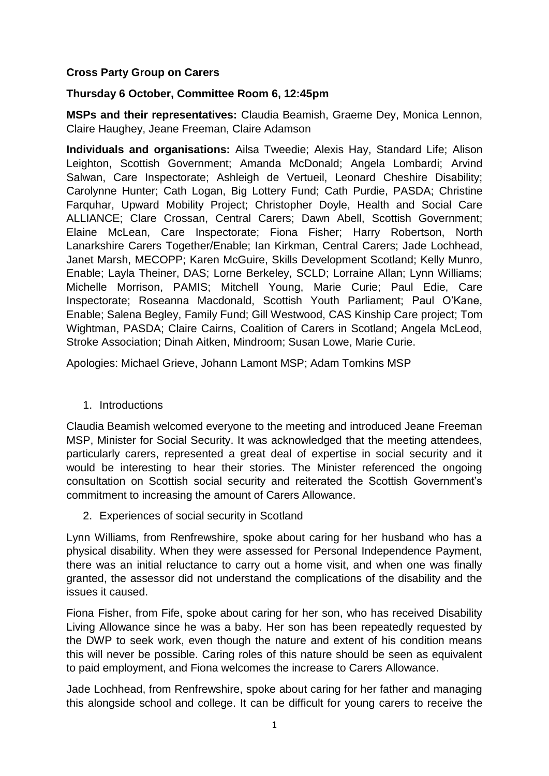## **Cross Party Group on Carers**

## **Thursday 6 October, Committee Room 6, 12:45pm**

**MSPs and their representatives:** Claudia Beamish, Graeme Dey, Monica Lennon, Claire Haughey, Jeane Freeman, Claire Adamson

**Individuals and organisations:** Ailsa Tweedie; Alexis Hay, Standard Life; Alison Leighton, Scottish Government; Amanda McDonald; Angela Lombardi; Arvind Salwan, Care Inspectorate; Ashleigh de Vertueil, Leonard Cheshire Disability; Carolynne Hunter; Cath Logan, Big Lottery Fund; Cath Purdie, PASDA; Christine Farquhar, Upward Mobility Project; Christopher Doyle, Health and Social Care ALLIANCE; Clare Crossan, Central Carers; Dawn Abell, Scottish Government; Elaine McLean, Care Inspectorate; Fiona Fisher; Harry Robertson, North Lanarkshire Carers Together/Enable; Ian Kirkman, Central Carers; Jade Lochhead, Janet Marsh, MECOPP; Karen McGuire, Skills Development Scotland; Kelly Munro, Enable; Layla Theiner, DAS; Lorne Berkeley, SCLD; Lorraine Allan; Lynn Williams; Michelle Morrison, PAMIS; Mitchell Young, Marie Curie; Paul Edie, Care Inspectorate; Roseanna Macdonald, Scottish Youth Parliament; Paul O'Kane, Enable; Salena Begley, Family Fund; Gill Westwood, CAS Kinship Care project; Tom Wightman, PASDA; Claire Cairns, Coalition of Carers in Scotland; Angela McLeod, Stroke Association; Dinah Aitken, Mindroom; Susan Lowe, Marie Curie.

Apologies: Michael Grieve, Johann Lamont MSP; Adam Tomkins MSP

1. Introductions

Claudia Beamish welcomed everyone to the meeting and introduced Jeane Freeman MSP, Minister for Social Security. It was acknowledged that the meeting attendees, particularly carers, represented a great deal of expertise in social security and it would be interesting to hear their stories. The Minister referenced the ongoing consultation on Scottish social security and reiterated the Scottish Government's commitment to increasing the amount of Carers Allowance.

2. Experiences of social security in Scotland

Lynn Williams, from Renfrewshire, spoke about caring for her husband who has a physical disability. When they were assessed for Personal Independence Payment, there was an initial reluctance to carry out a home visit, and when one was finally granted, the assessor did not understand the complications of the disability and the issues it caused.

Fiona Fisher, from Fife, spoke about caring for her son, who has received Disability Living Allowance since he was a baby. Her son has been repeatedly requested by the DWP to seek work, even though the nature and extent of his condition means this will never be possible. Caring roles of this nature should be seen as equivalent to paid employment, and Fiona welcomes the increase to Carers Allowance.

Jade Lochhead, from Renfrewshire, spoke about caring for her father and managing this alongside school and college. It can be difficult for young carers to receive the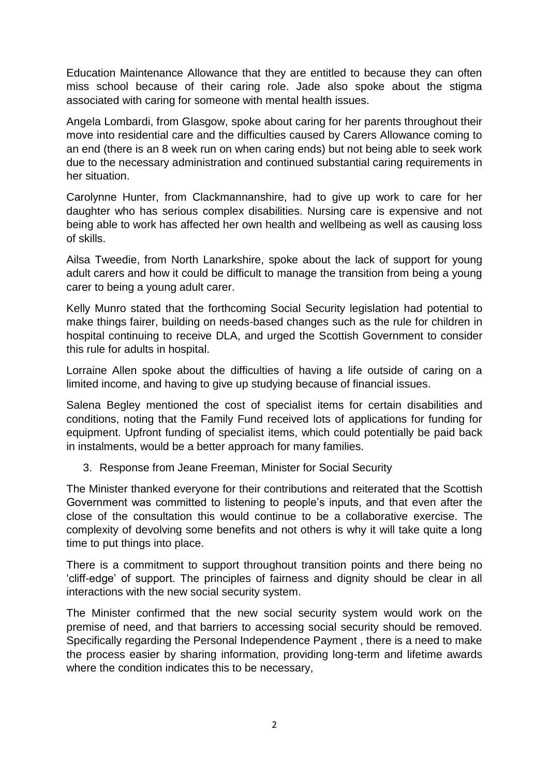Education Maintenance Allowance that they are entitled to because they can often miss school because of their caring role. Jade also spoke about the stigma associated with caring for someone with mental health issues.

Angela Lombardi, from Glasgow, spoke about caring for her parents throughout their move into residential care and the difficulties caused by Carers Allowance coming to an end (there is an 8 week run on when caring ends) but not being able to seek work due to the necessary administration and continued substantial caring requirements in her situation.

Carolynne Hunter, from Clackmannanshire, had to give up work to care for her daughter who has serious complex disabilities. Nursing care is expensive and not being able to work has affected her own health and wellbeing as well as causing loss of skills.

Ailsa Tweedie, from North Lanarkshire, spoke about the lack of support for young adult carers and how it could be difficult to manage the transition from being a young carer to being a young adult carer.

Kelly Munro stated that the forthcoming Social Security legislation had potential to make things fairer, building on needs-based changes such as the rule for children in hospital continuing to receive DLA, and urged the Scottish Government to consider this rule for adults in hospital.

Lorraine Allen spoke about the difficulties of having a life outside of caring on a limited income, and having to give up studying because of financial issues.

Salena Begley mentioned the cost of specialist items for certain disabilities and conditions, noting that the Family Fund received lots of applications for funding for equipment. Upfront funding of specialist items, which could potentially be paid back in instalments, would be a better approach for many families.

3. Response from Jeane Freeman, Minister for Social Security

The Minister thanked everyone for their contributions and reiterated that the Scottish Government was committed to listening to people's inputs, and that even after the close of the consultation this would continue to be a collaborative exercise. The complexity of devolving some benefits and not others is why it will take quite a long time to put things into place.

There is a commitment to support throughout transition points and there being no 'cliff-edge' of support. The principles of fairness and dignity should be clear in all interactions with the new social security system.

The Minister confirmed that the new social security system would work on the premise of need, and that barriers to accessing social security should be removed. Specifically regarding the Personal Independence Payment , there is a need to make the process easier by sharing information, providing long-term and lifetime awards where the condition indicates this to be necessary,